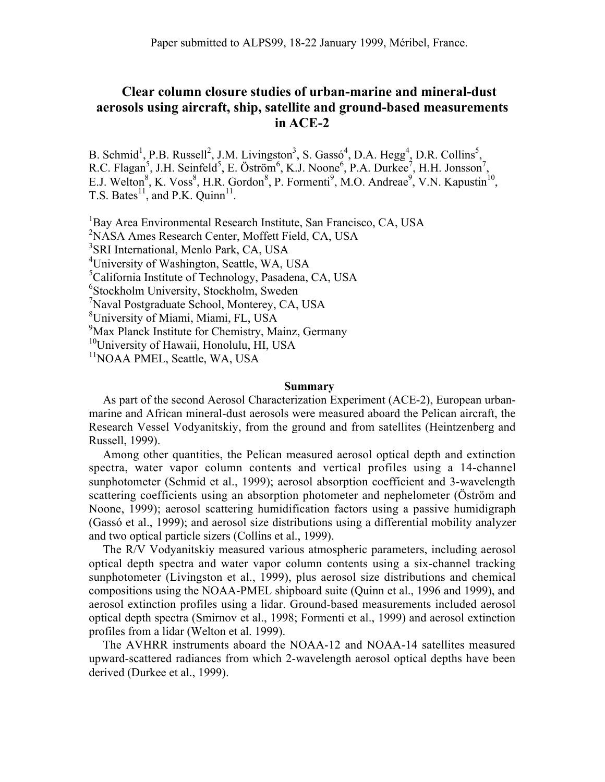## **Clear column closure studies of urban-marine and mineral-dust aerosols using aircraft, ship, satellite and ground-based measurements in ACE-2**

B. Schmid<sup>1</sup>, P.B. Russell<sup>2</sup>, J.M. Livingston<sup>3</sup>, S. Gassó<sup>4</sup>, D.A. Hegg<sup>4</sup>, D.R. Collins<sup>5</sup>, R.C. Flagan<sup>5</sup>, J.H. Seinfeld<sup>5</sup>, E. Öström<sup>6</sup>, K.J. Noone<sup>6</sup>, P.A. Durkee<sup>7</sup>, H.H. Jonsson<sup>7</sup> , E.J. Welton<sup>8</sup>, K. Voss<sup>8</sup>, H.R. Gordon<sup>8</sup>, P. Formenti<sup>9</sup>, M.O. Andreae<sup>9</sup>, V.N. Kapustin<sup>10</sup>, T.S. Bates<sup>11</sup>, and P.K. Quinn<sup>11</sup>.

<sup>1</sup>Bay Area Environmental Research Institute, San Francisco, CA, USA <sup>2</sup>NASA Ames Research Center, Moffett Field, CA, USA 3 SRI International, Menlo Park, CA, USA <sup>4</sup>University of Washington, Seattle, WA, USA 5 California Institute of Technology, Pasadena, CA, USA 6 Stockholm University, Stockholm, Sweden 7 Naval Postgraduate School, Monterey, CA, USA 8 University of Miami, Miami, FL, USA 9 Max Planck Institute for Chemistry, Mainz, Germany <sup>10</sup>University of Hawaii, Honolulu, HI, USA <sup>11</sup>NOAA PMEL, Seattle, WA, USA

## **Summary**

As part of the second Aerosol Characterization Experiment (ACE-2), European urbanmarine and African mineral-dust aerosols were measured aboard the Pelican aircraft, the Research Vessel Vodyanitskiy, from the ground and from satellites (Heintzenberg and Russell, 1999).

Among other quantities, the Pelican measured aerosol optical depth and extinction spectra, water vapor column contents and vertical profiles using a 14-channel sunphotometer (Schmid et al., 1999); aerosol absorption coefficient and 3-wavelength scattering coefficients using an absorption photometer and nephelometer (Öström and Noone, 1999); aerosol scattering humidification factors using a passive humidigraph (Gassó et al., 1999); and aerosol size distributions using a differential mobility analyzer and two optical particle sizers (Collins et al., 1999).

The R/V Vodyanitskiy measured various atmospheric parameters, including aerosol optical depth spectra and water vapor column contents using a six-channel tracking sunphotometer (Livingston et al., 1999), plus aerosol size distributions and chemical compositions using the NOAA-PMEL shipboard suite (Quinn et al., 1996 and 1999), and aerosol extinction profiles using a lidar. Ground-based measurements included aerosol optical depth spectra (Smirnov et al., 1998; Formenti et al., 1999) and aerosol extinction profiles from a lidar (Welton et al. 1999).

The AVHRR instruments aboard the NOAA-12 and NOAA-14 satellites measured upward-scattered radiances from which 2-wavelength aerosol optical depths have been derived (Durkee et al., 1999).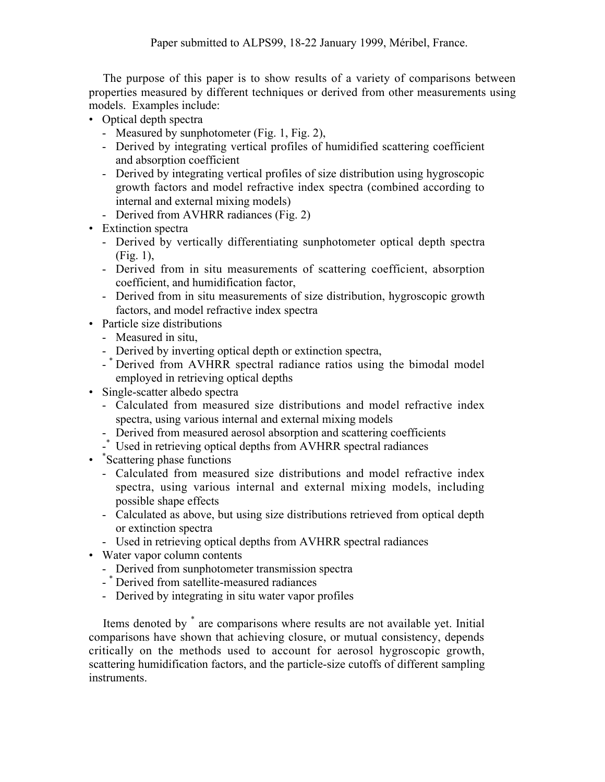The purpose of this paper is to show results of a variety of comparisons between properties measured by different techniques or derived from other measurements using models. Examples include:

- Optical depth spectra
	- Measured by sunphotometer (Fig. 1, Fig. 2),
	- Derived by integrating vertical profiles of humidified scattering coefficient and absorption coefficient
	- Derived by integrating vertical profiles of size distribution using hygroscopic growth factors and model refractive index spectra (combined according to internal and external mixing models)
	- Derived from AVHRR radiances (Fig. 2)
- Extinction spectra
	- Derived by vertically differentiating sunphotometer optical depth spectra (Fig. 1),
	- Derived from in situ measurements of scattering coefficient, absorption coefficient, and humidification factor,
	- Derived from in situ measurements of size distribution, hygroscopic growth factors, and model refractive index spectra
- Particle size distributions
	- Measured in situ,
	- Derived by inverting optical depth or extinction spectra,
	- \* Derived from AVHRR spectral radiance ratios using the bimodal model employed in retrieving optical depths
- Single-scatter albedo spectra
	- Calculated from measured size distributions and model refractive index spectra, using various internal and external mixing models
	- Derived from measured aerosol absorption and scattering coefficients
	- -\* Used in retrieving optical depths from AVHRR spectral radiances
- \* Scattering phase functions
	- Calculated from measured size distributions and model refractive index spectra, using various internal and external mixing models, including possible shape effects
	- Calculated as above, but using size distributions retrieved from optical depth or extinction spectra
	- Used in retrieving optical depths from AVHRR spectral radiances
- Water vapor column contents
	- Derived from sunphotometer transmission spectra
	- \* Derived from satellite-measured radiances
	- Derived by integrating in situ water vapor profiles

Items denoted by \* are comparisons where results are not available yet. Initial comparisons have shown that achieving closure, or mutual consistency, depends critically on the methods used to account for aerosol hygroscopic growth, scattering humidification factors, and the particle-size cutoffs of different sampling instruments.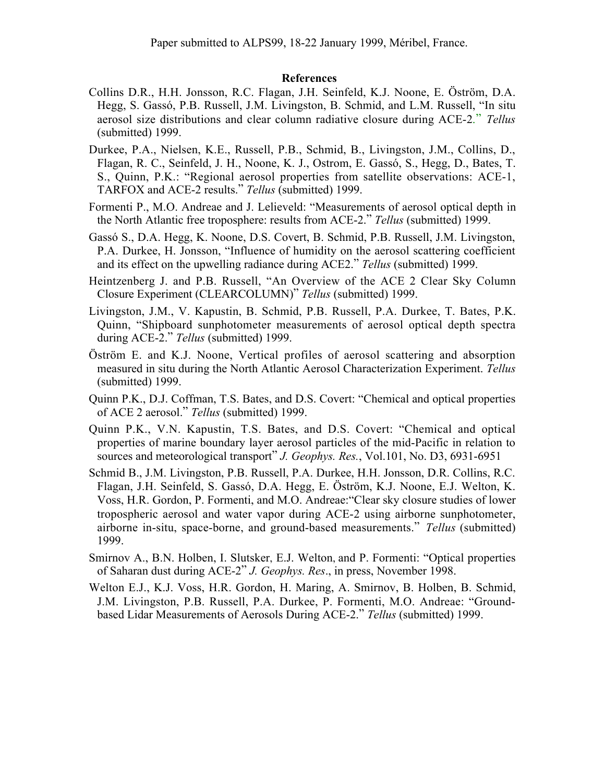## **References**

- Collins D.R., H.H. Jonsson, R.C. Flagan, J.H. Seinfeld, K.J. Noone, E. Öström, D.A. Hegg, S. Gassó, P.B. Russell, J.M. Livingston, B. Schmid, and L.M. Russell, "In situ aerosol size distributions and clear column radiative closure during ACE-2." *Tellus* (submitted) 1999.
- Durkee, P.A., Nielsen, K.E., Russell, P.B., Schmid, B., Livingston, J.M., Collins, D., Flagan, R. C., Seinfeld, J. H., Noone, K. J., Ostrom, E. Gassó, S., Hegg, D., Bates, T. S., Quinn, P.K.: "Regional aerosol properties from satellite observations: ACE-1, TARFOX and ACE-2 results." *Tellus* (submitted) 1999.
- Formenti P., M.O. Andreae and J. Lelieveld: "Measurements of aerosol optical depth in the North Atlantic free troposphere: results from ACE-2." *Tellus* (submitted) 1999.
- Gassó S., D.A. Hegg, K. Noone, D.S. Covert, B. Schmid, P.B. Russell, J.M. Livingston, P.A. Durkee, H. Jonsson, "Influence of humidity on the aerosol scattering coefficient and its effect on the upwelling radiance during ACE2." *Tellus* (submitted) 1999.
- Heintzenberg J. and P.B. Russell, "An Overview of the ACE 2 Clear Sky Column Closure Experiment (CLEARCOLUMN)" *Tellus* (submitted) 1999.
- Livingston, J.M., V. Kapustin, B. Schmid, P.B. Russell, P.A. Durkee, T. Bates, P.K. Quinn, "Shipboard sunphotometer measurements of aerosol optical depth spectra during ACE-2." *Tellus* (submitted) 1999.
- Öström E. and K.J. Noone, Vertical profiles of aerosol scattering and absorption measured in situ during the North Atlantic Aerosol Characterization Experiment. *Tellus* (submitted) 1999.
- Quinn P.K., D.J. Coffman, T.S. Bates, and D.S. Covert: "Chemical and optical properties of ACE 2 aerosol." *Tellus* (submitted) 1999.
- Quinn P.K., V.N. Kapustin, T.S. Bates, and D.S. Covert: "Chemical and optical properties of marine boundary layer aerosol particles of the mid-Pacific in relation to sources and meteorological transport" *J. Geophys. Res.*, Vol.101, No. D3, 6931-6951
- Schmid B., J.M. Livingston, P.B. Russell, P.A. Durkee, H.H. Jonsson, D.R. Collins, R.C. Flagan, J.H. Seinfeld, S. Gassó, D.A. Hegg, E. Öström, K.J. Noone, E.J. Welton, K. Voss, H.R. Gordon, P. Formenti, and M.O. Andreae:"Clear sky closure studies of lower tropospheric aerosol and water vapor during ACE-2 using airborne sunphotometer, airborne in-situ, space-borne, and ground-based measurements." *Tellus* (submitted) 1999.
- Smirnov A., B.N. Holben, I. Slutsker, E.J. Welton, and P. Formenti: "Optical properties of Saharan dust during ACE-2" *J. Geophys. Res*., in press, November 1998.
- Welton E.J., K.J. Voss, H.R. Gordon, H. Maring, A. Smirnov, B. Holben, B. Schmid, J.M. Livingston, P.B. Russell, P.A. Durkee, P. Formenti, M.O. Andreae: "Groundbased Lidar Measurements of Aerosols During ACE-2." *Tellus* (submitted) 1999.